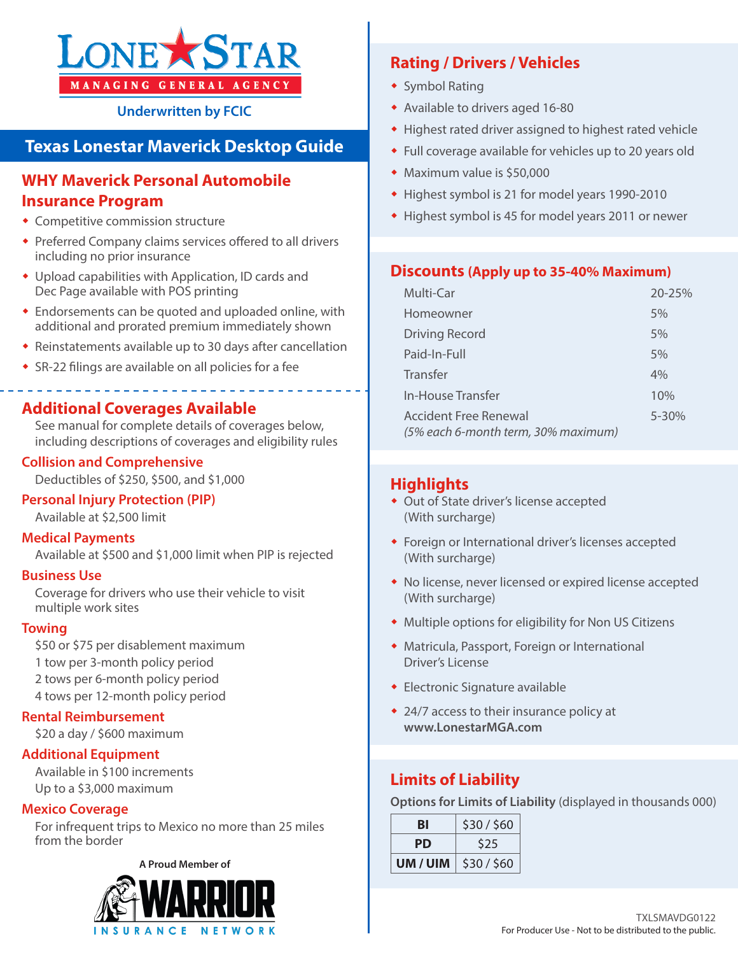

**Underwritten by FCIC**

# **Texas Lonestar Maverick Desktop Guide**

# **WHY Maverick Personal Automobile Insurance Program**

- Competitive commission structure
- Preferred Company claims services offered to all drivers including no prior insurance
- Upload capabilities with Application, ID cards and Dec Page available with POS printing
- Endorsements can be quoted and uploaded online, with additional and prorated premium immediately shown
- Reinstatements available up to 30 days after cancellation
- SR-22 filings are available on all policies for a fee

# **Additional Coverages Available**

See manual for complete details of coverages below, including descriptions of coverages and eligibility rules

#### **Collision and Comprehensive**

Deductibles of \$250, \$500, and \$1,000

#### **Personal Injury Protection (PIP)**

Available at \$2,500 limit

#### **Medical Payments**

Available at \$500 and \$1,000 limit when PIP is rejected

#### **Business Use**

Coverage for drivers who use their vehicle to visit multiple work sites

#### **Towing**

\$50 or \$75 per disablement maximum 1 tow per 3-month policy period 2 tows per 6-month policy period 4 tows per 12-month policy period

#### **Rental Reimbursement**

\$20 a day / \$600 maximum

#### **Additional Equipment**

Available in \$100 increments Up to a \$3,000 maximum

#### **Mexico Coverage**

For infrequent trips to Mexico no more than 25 miles from the border

#### **A Proud Member of**



# **Rating / Drivers / Vehicles**

- ◆ Symbol Rating
- Available to drivers aged 16-80
- Highest rated driver assigned to highest rated vehicle
- Full coverage available for vehicles up to 20 years old
- Maximum value is \$50,000
- Highest symbol is 21 for model years 1990-2010
- Highest symbol is 45 for model years 2011 or newer

### **Discounts (Apply up to 35-40% Maximum)**

| Multi-Car                                                    | $20 - 25%$ |
|--------------------------------------------------------------|------------|
| Homeowner                                                    | 5%         |
| <b>Driving Record</b>                                        | 5%         |
| Paid-In-Full                                                 | 5%         |
| Transfer                                                     | 4%         |
| In-House Transfer                                            | 10%        |
| Accident Free Renewal<br>(5% each 6-month term, 30% maximum) | 5-30%      |

# **Highlights**

- Out of State driver's license accepted (With surcharge)
- Foreign or International driver's licenses accepted (With surcharge)
- No license, never licensed or expired license accepted (With surcharge)
- Multiple options for eligibility for Non US Citizens
- Matricula, Passport, Foreign or International Driver's License
- Electronic Signature available
- 24/7 access to their insurance policy at **www.LonestarMGA.com**

# **Limits of Liability**

**Options for Limits of Liability** (displayed in thousands 000)

| BI       | \$30/\$60 |  |  |
|----------|-----------|--|--|
| PD       | \$25      |  |  |
| UM / UIM | \$30/\$60 |  |  |